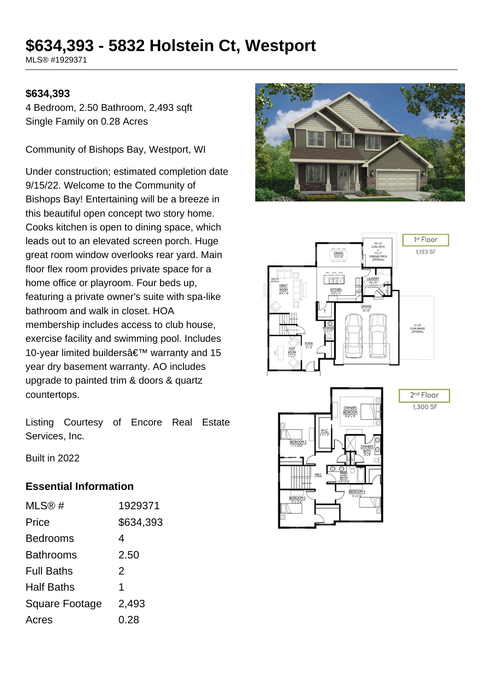# **\$634,393 - 5832 Holstein Ct, Westport**

MLS® #1929371

#### **\$634,393**

4 Bedroom, 2.50 Bathroom, 2,493 sqft Single Family on 0.28 Acres

Community of Bishops Bay, Westport, WI

Under construction; estimated completion date 9/15/22. Welcome to the Community of Bishops Bay! Entertaining will be a breeze in this beautiful open concept two story home. Cooks kitchen is open to dining space, which leads out to an elevated screen porch. Huge great room window overlooks rear yard. Main floor flex room provides private space for a home office or playroom. Four beds up, featuring a private owner's suite with spa-like bathroom and walk in closet. HOA membership includes access to club house, exercise facility and swimming pool. Includes 10-year limited builders' warranty and 15 year dry basement warranty. AO includes upgrade to painted trim & doors & quartz countertops.



Listing Courtesy of Encore Real Estate Services, Inc.

Built in 2022

#### **Essential Information**

| MLS@#                 | 1929371   |
|-----------------------|-----------|
| Price                 | \$634,393 |
| <b>Bedrooms</b>       | 4         |
| <b>Bathrooms</b>      | 2.50      |
| <b>Full Baths</b>     | 2         |
| <b>Half Baths</b>     | 1         |
| <b>Square Footage</b> | 2,493     |
| Acres                 | 0.28      |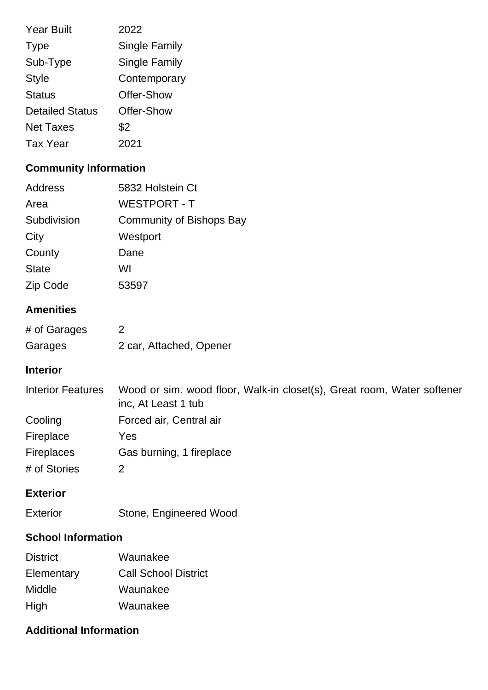| <b>Year Built</b>      | 2022                 |
|------------------------|----------------------|
| <b>Type</b>            | <b>Single Family</b> |
| Sub-Type               | <b>Single Family</b> |
| <b>Style</b>           | Contemporary         |
| <b>Status</b>          | Offer-Show           |
| <b>Detailed Status</b> | Offer-Show           |
| <b>Net Taxes</b>       | \$2                  |
| <b>Tax Year</b>        | 2021                 |

# **Community Information**

| Address      | 5832 Holstein Ct         |
|--------------|--------------------------|
| Area         | <b>WESTPORT - T</b>      |
| Subdivision  | Community of Bishops Bay |
| City         | Westport                 |
| County       | Dane                     |
| <b>State</b> | WI                       |
| Zip Code     | 53597                    |

## **Amenities**

| # of Garages |                         |
|--------------|-------------------------|
| Garages      | 2 car, Attached, Opener |

#### **Interior**

| <b>Interior Features</b> | Wood or sim. wood floor, Walk-in closet(s), Great room, Water softener<br>inc, At Least 1 tub |
|--------------------------|-----------------------------------------------------------------------------------------------|
| Cooling                  | Forced air, Central air                                                                       |
| Fireplace                | Yes                                                                                           |
| <b>Fireplaces</b>        | Gas burning, 1 fireplace                                                                      |
| # of Stories             |                                                                                               |

#### **Exterior**

|  | Stone, Engineered Wood |
|--|------------------------|

# **School Information**

| <b>District</b> | Waunakee                    |
|-----------------|-----------------------------|
| Elementary      | <b>Call School District</b> |
| Middle          | Waunakee                    |
| High            | Waunakee                    |

### **Additional Information**